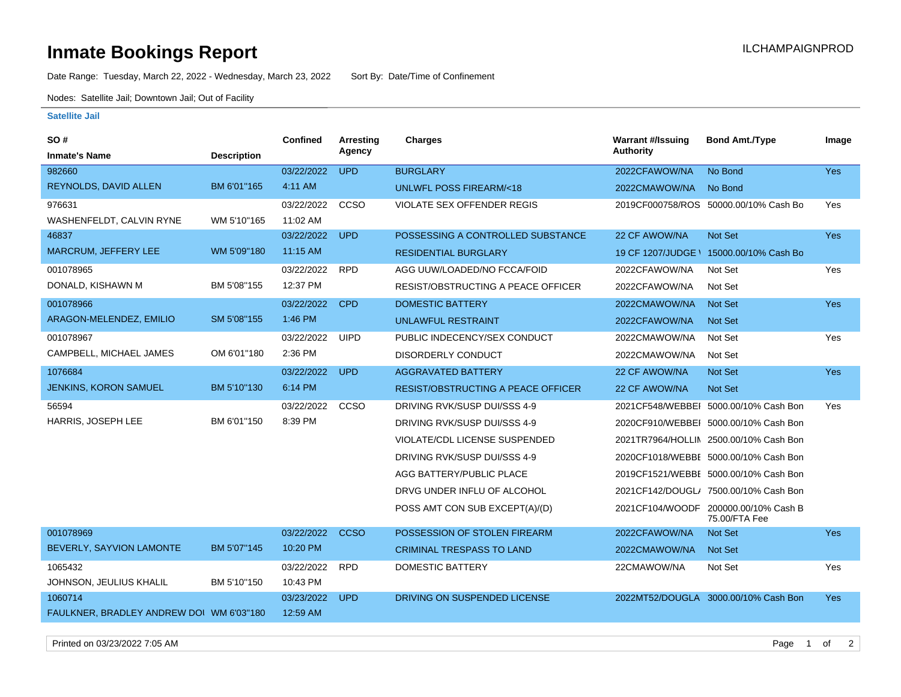## **Inmate Bookings Report Installation ILCHAMPAIGNPROD**

Date Range: Tuesday, March 22, 2022 - Wednesday, March 23, 2022 Sort By: Date/Time of Confinement

Nodes: Satellite Jail; Downtown Jail; Out of Facility

## **Satellite Jail**

| SO#                                      |                    | <b>Confined</b> | <b>Arresting</b> | <b>Charges</b>                            | <b>Warrant #/Issuing</b> | <b>Bond Amt./Type</b>                                 | Image      |
|------------------------------------------|--------------------|-----------------|------------------|-------------------------------------------|--------------------------|-------------------------------------------------------|------------|
| <b>Inmate's Name</b>                     | <b>Description</b> |                 | Agency           |                                           | <b>Authority</b>         |                                                       |            |
| 982660                                   |                    | 03/22/2022      | <b>UPD</b>       | <b>BURGLARY</b>                           | 2022CFAWOW/NA            | No Bond                                               | Yes        |
| REYNOLDS, DAVID ALLEN                    | BM 6'01"165        | 4:11 AM         |                  | <b>UNLWFL POSS FIREARM/&lt;18</b>         | 2022CMAWOW/NA            | No Bond                                               |            |
| 976631                                   |                    | 03/22/2022      | CCSO             | <b>VIOLATE SEX OFFENDER REGIS</b>         |                          | 2019CF000758/ROS 50000.00/10% Cash Bo                 | Yes        |
| WASHENFELDT, CALVIN RYNE                 | WM 5'10"165        | 11:02 AM        |                  |                                           |                          |                                                       |            |
| 46837                                    |                    | 03/22/2022      | <b>UPD</b>       | POSSESSING A CONTROLLED SUBSTANCE         | 22 CF AWOW/NA            | Not Set                                               | Yes        |
| MARCRUM, JEFFERY LEE                     | WM 5'09"180        | 11:15 AM        |                  | <b>RESIDENTIAL BURGLARY</b>               | 19 CF 1207/JUDGE \       | 15000.00/10% Cash Bo                                  |            |
| 001078965                                |                    | 03/22/2022      | <b>RPD</b>       | AGG UUW/LOADED/NO FCCA/FOID               | 2022CFAWOW/NA            | Not Set                                               | Yes        |
| DONALD, KISHAWN M                        | BM 5'08"155        | 12:37 PM        |                  | RESIST/OBSTRUCTING A PEACE OFFICER        | 2022CFAWOW/NA            | Not Set                                               |            |
| 001078966                                |                    | 03/22/2022      | <b>CPD</b>       | <b>DOMESTIC BATTERY</b>                   | 2022CMAWOW/NA            | Not Set                                               | <b>Yes</b> |
| ARAGON-MELENDEZ, EMILIO                  | SM 5'08"155        | 1:46 PM         |                  | <b>UNLAWFUL RESTRAINT</b>                 | 2022CFAWOW/NA            | Not Set                                               |            |
| 001078967                                |                    | 03/22/2022      | <b>UIPD</b>      | PUBLIC INDECENCY/SEX CONDUCT              | 2022CMAWOW/NA            | Not Set                                               | Yes        |
| CAMPBELL, MICHAEL JAMES                  | OM 6'01"180        | 2:36 PM         |                  | <b>DISORDERLY CONDUCT</b>                 | 2022CMAWOW/NA            | Not Set                                               |            |
| 1076684                                  |                    | 03/22/2022      | <b>UPD</b>       | <b>AGGRAVATED BATTERY</b>                 | 22 CF AWOW/NA            | Not Set                                               | <b>Yes</b> |
| <b>JENKINS, KORON SAMUEL</b>             | BM 5'10"130        | 6:14 PM         |                  | <b>RESIST/OBSTRUCTING A PEACE OFFICER</b> | 22 CF AWOW/NA            | <b>Not Set</b>                                        |            |
| 56594                                    |                    | 03/22/2022      | CCSO             | DRIVING RVK/SUSP DUI/SSS 4-9              |                          | 2021CF548/WEBBEI 5000.00/10% Cash Bon                 | Yes        |
| HARRIS, JOSEPH LEE                       | BM 6'01"150        | 8:39 PM         |                  | DRIVING RVK/SUSP DUI/SSS 4-9              |                          | 2020CF910/WEBBEI 5000.00/10% Cash Bon                 |            |
|                                          |                    |                 |                  | VIOLATE/CDL LICENSE SUSPENDED             |                          | 2021TR7964/HOLLIN 2500.00/10% Cash Bon                |            |
|                                          |                    |                 |                  | DRIVING RVK/SUSP DUI/SSS 4-9              |                          | 2020CF1018/WEBBE 5000.00/10% Cash Bon                 |            |
|                                          |                    |                 |                  | AGG BATTERY/PUBLIC PLACE                  |                          | 2019CF1521/WEBBE 5000.00/10% Cash Bon                 |            |
|                                          |                    |                 |                  | DRVG UNDER INFLU OF ALCOHOL               |                          | 2021CF142/DOUGL/ 7500.00/10% Cash Bon                 |            |
|                                          |                    |                 |                  | POSS AMT CON SUB EXCEPT(A)/(D)            |                          | 2021CF104/WOODF 200000.00/10% Cash B<br>75.00/FTA Fee |            |
| 001078969                                |                    | 03/22/2022      | <b>CCSO</b>      | POSSESSION OF STOLEN FIREARM              | 2022CFAWOW/NA            | Not Set                                               | Yes        |
| BEVERLY, SAYVION LAMONTE                 | BM 5'07"145        | 10:20 PM        |                  | <b>CRIMINAL TRESPASS TO LAND</b>          | 2022CMAWOW/NA            | <b>Not Set</b>                                        |            |
| 1065432                                  |                    | 03/22/2022      | <b>RPD</b>       | <b>DOMESTIC BATTERY</b>                   | 22CMAWOW/NA              | Not Set                                               | Yes        |
| JOHNSON, JEULIUS KHALIL                  | BM 5'10"150        | 10:43 PM        |                  |                                           |                          |                                                       |            |
| 1060714                                  |                    | 03/23/2022      | <b>UPD</b>       | DRIVING ON SUSPENDED LICENSE              |                          | 2022MT52/DOUGLA 3000.00/10% Cash Bon                  | <b>Yes</b> |
| FAULKNER, BRADLEY ANDREW DOI WM 6'03"180 |                    | 12:59 AM        |                  |                                           |                          |                                                       |            |

Printed on 03/23/2022 7:05 AM Page 1 of 2